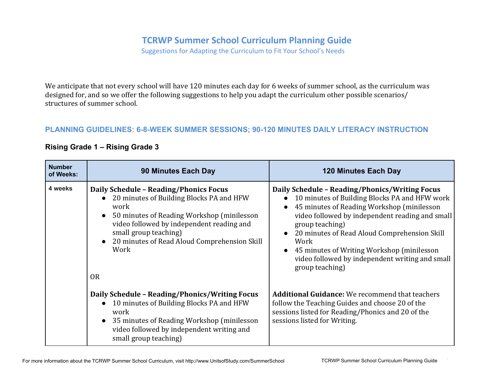## **TCRWP Summer School Curriculum Planning Guide**

Suggestions for Adapting the Curriculum to Fit Your School's Needs

We anticipate that not every school will have 120 minutes each day for 6 weeks of summer school, as the curriculum was designed for, and so we offer the following suggestions to help you adapt the curriculum other possible scenarios/ structures of summer school.

## **PLANNING GUIDELINES: 6-8-WEEK SUMMER SESSIONS; 90-120 MINUTES DAILY LITERACY INSTRUCTION**

| <b>Number</b><br>of Weeks: | 90 Minutes Each Day                                                                                                                                                                                                                                                                                       | 120 Minutes Each Day                                                                                                                                                                                                                                                                                                                                                                                         |
|----------------------------|-----------------------------------------------------------------------------------------------------------------------------------------------------------------------------------------------------------------------------------------------------------------------------------------------------------|--------------------------------------------------------------------------------------------------------------------------------------------------------------------------------------------------------------------------------------------------------------------------------------------------------------------------------------------------------------------------------------------------------------|
| 4 weeks                    | <b>Daily Schedule - Reading/Phonics Focus</b><br>20 minutes of Building Blocks PA and HFW<br>work<br>50 minutes of Reading Workshop (minilesson<br>$\bullet$<br>video followed by independent reading and<br>small group teaching)<br>• 20 minutes of Read Aloud Comprehension Skill<br>Work<br><b>OR</b> | Daily Schedule - Reading/Phonics/Writing Focus<br>10 minutes of Building Blocks PA and HFW work<br>45 minutes of Reading Workshop (minilesson<br>video followed by independent reading and small<br>group teaching)<br>20 minutes of Read Aloud Comprehension Skill<br>$\bullet$<br>Work<br>45 minutes of Writing Workshop (minilesson<br>video followed by independent writing and small<br>group teaching) |
|                            | Daily Schedule - Reading/Phonics/Writing Focus<br>10 minutes of Building Blocks PA and HFW<br>work<br>35 minutes of Reading Workshop (minilesson<br>video followed by independent writing and<br>small group teaching)                                                                                    | <b>Additional Guidance:</b> We recommend that teachers<br>follow the Teaching Guides and choose 20 of the<br>sessions listed for Reading/Phonics and 20 of the<br>sessions listed for Writing.                                                                                                                                                                                                               |

## **Rising Grade 1 – Rising Grade 3**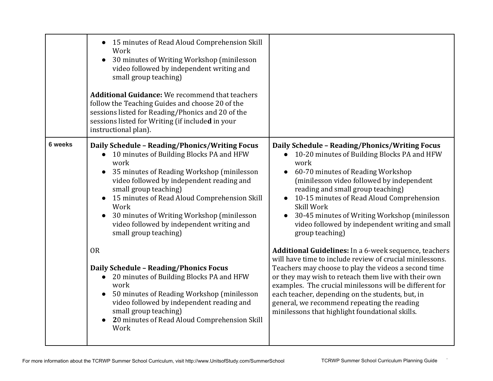|         | • 15 minutes of Read Aloud Comprehension Skill<br>Work<br>30 minutes of Writing Workshop (minilesson<br>$\bullet$<br>video followed by independent writing and<br>small group teaching)<br><b>Additional Guidance:</b> We recommend that teachers<br>follow the Teaching Guides and choose 20 of the<br>sessions listed for Reading/Phonics and 20 of the<br>sessions listed for Writing (if included in your<br>instructional plan).       |                                                                                                                                                                                                                                                                                                                                                                                                                                                    |
|---------|---------------------------------------------------------------------------------------------------------------------------------------------------------------------------------------------------------------------------------------------------------------------------------------------------------------------------------------------------------------------------------------------------------------------------------------------|----------------------------------------------------------------------------------------------------------------------------------------------------------------------------------------------------------------------------------------------------------------------------------------------------------------------------------------------------------------------------------------------------------------------------------------------------|
| 6 weeks | Daily Schedule - Reading/Phonics/Writing Focus<br>10 minutes of Building Blocks PA and HFW<br>$\bullet$<br>work<br>35 minutes of Reading Workshop (minilesson<br>$\bullet$<br>video followed by independent reading and<br>small group teaching)<br>• 15 minutes of Read Aloud Comprehension Skill<br>Work<br>30 minutes of Writing Workshop (minilesson<br>$\bullet$<br>video followed by independent writing and<br>small group teaching) | Daily Schedule - Reading/Phonics/Writing Focus<br>• 10-20 minutes of Building Blocks PA and HFW<br>work<br>60-70 minutes of Reading Workshop<br>(minilesson video followed by independent<br>reading and small group teaching)<br>10-15 minutes of Read Aloud Comprehension<br>Skill Work<br>30-45 minutes of Writing Workshop (minilesson<br>video followed by independent writing and small<br>group teaching)                                   |
|         | <b>OR</b><br>Daily Schedule - Reading/Phonics Focus<br>20 minutes of Building Blocks PA and HFW<br>$\bullet$<br>work<br>50 minutes of Reading Workshop (minilesson<br>$\bullet$<br>video followed by independent reading and<br>small group teaching)<br>20 minutes of Read Aloud Comprehension Skill<br>$\bullet$<br>Work                                                                                                                  | Additional Guidelines: In a 6-week sequence, teachers<br>will have time to include review of crucial minilessons.<br>Teachers may choose to play the videos a second time<br>or they may wish to reteach them live with their own<br>examples. The crucial minilessons will be different for<br>each teacher, depending on the students, but, in<br>general, we recommend repeating the reading<br>minilessons that highlight foundational skills. |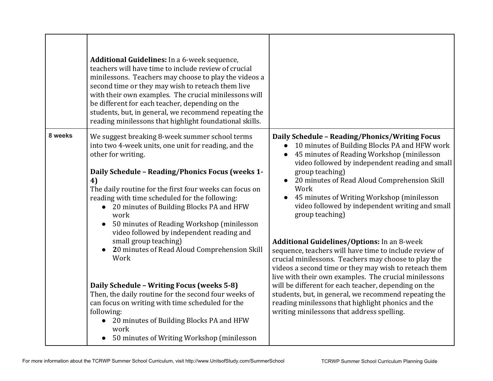|         | Additional Guidelines: In a 6-week sequence,<br>teachers will have time to include review of crucial<br>minilessons. Teachers may choose to play the videos a<br>second time or they may wish to reteach them live<br>with their own examples. The crucial minilessons will<br>be different for each teacher, depending on the<br>students, but, in general, we recommend repeating the<br>reading minilessons that highlight foundational skills.                                                                            |                                                                                                                                                                                                                                                                                                                                                                                                                                                                                                                              |
|---------|-------------------------------------------------------------------------------------------------------------------------------------------------------------------------------------------------------------------------------------------------------------------------------------------------------------------------------------------------------------------------------------------------------------------------------------------------------------------------------------------------------------------------------|------------------------------------------------------------------------------------------------------------------------------------------------------------------------------------------------------------------------------------------------------------------------------------------------------------------------------------------------------------------------------------------------------------------------------------------------------------------------------------------------------------------------------|
| 8 weeks | We suggest breaking 8-week summer school terms<br>into two 4-week units, one unit for reading, and the<br>other for writing.<br>Daily Schedule - Reading/Phonics Focus (weeks 1-<br>4)<br>The daily routine for the first four weeks can focus on<br>reading with time scheduled for the following:<br>• 20 minutes of Building Blocks PA and HFW<br>work<br>50 minutes of Reading Workshop (minilesson<br>video followed by independent reading and<br>small group teaching)<br>20 minutes of Read Aloud Comprehension Skill | Daily Schedule - Reading/Phonics/Writing Focus<br>10 minutes of Building Blocks PA and HFW work<br>45 minutes of Reading Workshop (minilesson<br>video followed by independent reading and small<br>group teaching)<br>20 minutes of Read Aloud Comprehension Skill<br>Work<br>45 minutes of Writing Workshop (minilesson<br>$\bullet$<br>video followed by independent writing and small<br>group teaching)<br><b>Additional Guidelines/Options:</b> In an 8-week<br>sequence, teachers will have time to include review of |
|         | Work<br>Daily Schedule - Writing Focus (weeks 5-8)<br>Then, the daily routine for the second four weeks of<br>can focus on writing with time scheduled for the<br>following:<br>20 minutes of Building Blocks PA and HFW<br>work<br>50 minutes of Writing Workshop (minilesson                                                                                                                                                                                                                                                | crucial minilessons. Teachers may choose to play the<br>videos a second time or they may wish to reteach them<br>live with their own examples. The crucial minilessons<br>will be different for each teacher, depending on the<br>students, but, in general, we recommend repeating the<br>reading minilessons that highlight phonics and the<br>writing minilessons that address spelling.                                                                                                                                  |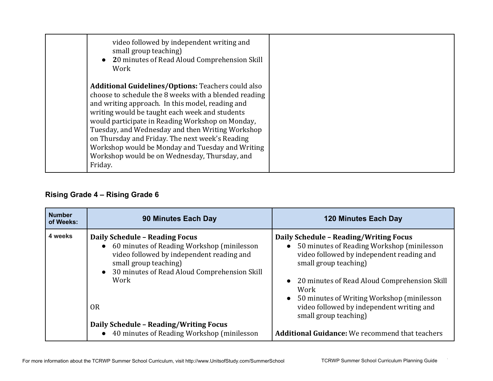| video followed by independent writing and<br>small group teaching)<br>20 minutes of Read Aloud Comprehension Skill<br>Work                                                                                                                                                                                                                                                                                                                                                                   |  |
|----------------------------------------------------------------------------------------------------------------------------------------------------------------------------------------------------------------------------------------------------------------------------------------------------------------------------------------------------------------------------------------------------------------------------------------------------------------------------------------------|--|
| Additional Guidelines/Options: Teachers could also<br>choose to schedule the 8 weeks with a blended reading<br>and writing approach. In this model, reading and<br>writing would be taught each week and students<br>would participate in Reading Workshop on Monday,<br>Tuesday, and Wednesday and then Writing Workshop<br>on Thursday and Friday. The next week's Reading<br>Workshop would be Monday and Tuesday and Writing<br>Workshop would be on Wednesday, Thursday, and<br>Friday. |  |

## **Rising Grade 4 – Rising Grade 6**

| <b>Number</b><br>of Weeks: | 90 Minutes Each Day                                                                                                                                                                                                            | <b>120 Minutes Each Day</b>                                                                                                                                                                                                                                                                                                                                                   |
|----------------------------|--------------------------------------------------------------------------------------------------------------------------------------------------------------------------------------------------------------------------------|-------------------------------------------------------------------------------------------------------------------------------------------------------------------------------------------------------------------------------------------------------------------------------------------------------------------------------------------------------------------------------|
| 4 weeks                    | <b>Daily Schedule - Reading Focus</b><br>60 minutes of Reading Workshop (minilesson<br>video followed by independent reading and<br>small group teaching)<br>30 minutes of Read Aloud Comprehension Skill<br>Work<br><b>OR</b> | Daily Schedule - Reading/Writing Focus<br>50 minutes of Reading Workshop (minilesson<br>$\bullet$<br>video followed by independent reading and<br>small group teaching)<br>20 minutes of Read Aloud Comprehension Skill<br>$\bullet$<br>Work<br>50 minutes of Writing Workshop (minilesson<br>$\bullet$<br>video followed by independent writing and<br>small group teaching) |
|                            | Daily Schedule - Reading/Writing Focus<br>40 minutes of Reading Workshop (minilesson                                                                                                                                           | <b>Additional Guidance:</b> We recommend that teachers                                                                                                                                                                                                                                                                                                                        |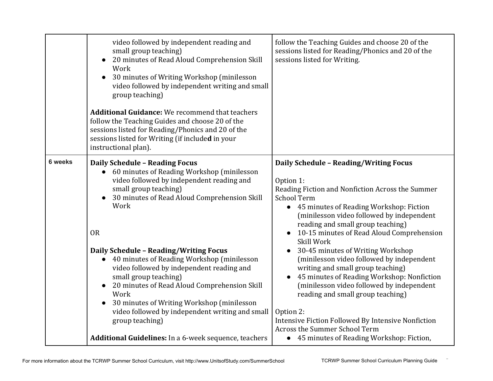|                | video followed by independent reading and<br>small group teaching)<br>20 minutes of Read Aloud Comprehension Skill<br>Work<br>30 minutes of Writing Workshop (minilesson<br>$\bullet$<br>video followed by independent writing and small<br>group teaching)<br><b>Additional Guidance:</b> We recommend that teachers<br>follow the Teaching Guides and choose 20 of the<br>sessions listed for Reading/Phonics and 20 of the<br>sessions listed for Writing (if included in your<br>instructional plan).                                                                                                                                      | follow the Teaching Guides and choose 20 of the<br>sessions listed for Reading/Phonics and 20 of the<br>sessions listed for Writing.                                                                                                                                                                                                                                                                                                                                                                                                                                                                                                                                                                                                        |
|----------------|------------------------------------------------------------------------------------------------------------------------------------------------------------------------------------------------------------------------------------------------------------------------------------------------------------------------------------------------------------------------------------------------------------------------------------------------------------------------------------------------------------------------------------------------------------------------------------------------------------------------------------------------|---------------------------------------------------------------------------------------------------------------------------------------------------------------------------------------------------------------------------------------------------------------------------------------------------------------------------------------------------------------------------------------------------------------------------------------------------------------------------------------------------------------------------------------------------------------------------------------------------------------------------------------------------------------------------------------------------------------------------------------------|
| <b>6 weeks</b> | <b>Daily Schedule - Reading Focus</b><br>60 minutes of Reading Workshop (minilesson<br>video followed by independent reading and<br>small group teaching)<br>30 minutes of Read Aloud Comprehension Skill<br>Work<br><b>OR</b><br>Daily Schedule - Reading/Writing Focus<br>40 minutes of Reading Workshop (minilesson<br>video followed by independent reading and<br>small group teaching)<br>20 minutes of Read Aloud Comprehension Skill<br>Work<br>30 minutes of Writing Workshop (minilesson<br>$\bullet$<br>video followed by independent writing and small<br>group teaching)<br>Additional Guidelines: In a 6-week sequence, teachers | Daily Schedule - Reading/Writing Focus<br>Option 1:<br>Reading Fiction and Nonfiction Across the Summer<br><b>School Term</b><br>45 minutes of Reading Workshop: Fiction<br>$\bullet$<br>(minilesson video followed by independent<br>reading and small group teaching)<br>10-15 minutes of Read Aloud Comprehension<br>Skill Work<br>30-45 minutes of Writing Workshop<br>(minilesson video followed by independent<br>writing and small group teaching)<br>45 minutes of Reading Workshop: Nonfiction<br>(minilesson video followed by independent<br>reading and small group teaching)<br>Option 2:<br>Intensive Fiction Followed By Intensive Nonfiction<br>Across the Summer School Term<br>• 45 minutes of Reading Workshop: Fiction, |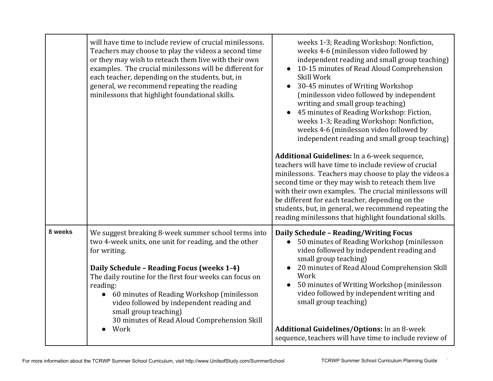|         | will have time to include review of crucial minilessons.<br>Teachers may choose to play the videos a second time<br>or they may wish to reteach them live with their own<br>examples. The crucial minilessons will be different for<br>each teacher, depending on the students, but, in<br>general, we recommend repeating the reading<br>minilessons that highlight foundational skills.                                                  | weeks 1-3; Reading Workshop: Nonfiction,<br>weeks 4-6 (minilesson video followed by<br>independent reading and small group teaching)<br>10-15 minutes of Read Aloud Comprehension<br><b>Skill Work</b><br>30-45 minutes of Writing Workshop<br>(minilesson video followed by independent<br>writing and small group teaching)<br>45 minutes of Reading Workshop: Fiction,<br>weeks 1-3; Reading Workshop: Nonfiction,<br>weeks 4-6 (minilesson video followed by<br>independent reading and small group teaching)<br>Additional Guidelines: In a 6-week sequence,<br>teachers will have time to include review of crucial<br>minilessons. Teachers may choose to play the videos a<br>second time or they may wish to reteach them live<br>with their own examples. The crucial minilessons will<br>be different for each teacher, depending on the<br>students, but, in general, we recommend repeating the<br>reading minilessons that highlight foundational skills. |
|---------|--------------------------------------------------------------------------------------------------------------------------------------------------------------------------------------------------------------------------------------------------------------------------------------------------------------------------------------------------------------------------------------------------------------------------------------------|-------------------------------------------------------------------------------------------------------------------------------------------------------------------------------------------------------------------------------------------------------------------------------------------------------------------------------------------------------------------------------------------------------------------------------------------------------------------------------------------------------------------------------------------------------------------------------------------------------------------------------------------------------------------------------------------------------------------------------------------------------------------------------------------------------------------------------------------------------------------------------------------------------------------------------------------------------------------------|
| 8 weeks | We suggest breaking 8-week summer school terms into<br>two 4-week units, one unit for reading, and the other<br>for writing.<br>Daily Schedule - Reading Focus (weeks 1-4)<br>The daily routine for the first four weeks can focus on<br>reading:<br>60 minutes of Reading Workshop (minilesson<br>$\bullet$<br>video followed by independent reading and<br>small group teaching)<br>30 minutes of Read Aloud Comprehension Skill<br>Work | Daily Schedule - Reading/Writing Focus<br>50 minutes of Reading Workshop (minilesson<br>video followed by independent reading and<br>small group teaching)<br>20 minutes of Read Aloud Comprehension Skill<br>Work<br>50 minutes of Writing Workshop (minilesson<br>video followed by independent writing and<br>small group teaching)<br><b>Additional Guidelines/Options:</b> In an 8-week<br>sequence, teachers will have time to include review of                                                                                                                                                                                                                                                                                                                                                                                                                                                                                                                  |